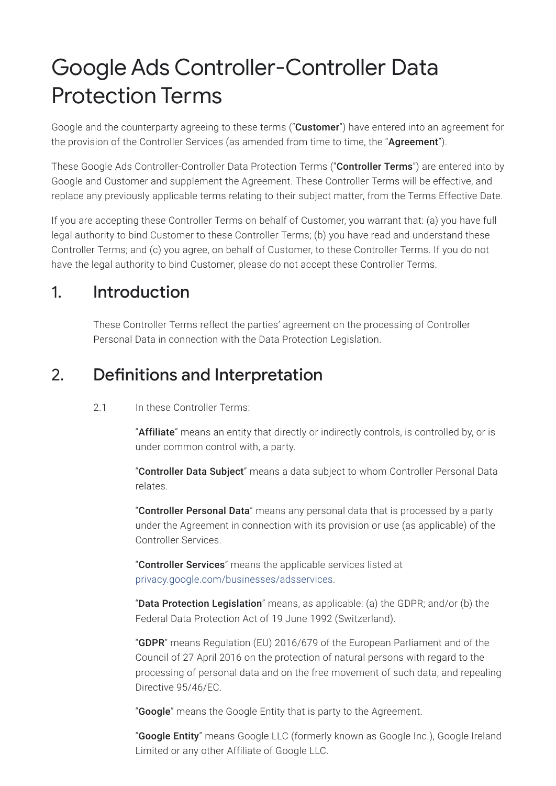# Google Ads Controller-Controller Data Protection Terms

Google and the counterparty agreeing to these terms ("**Customer**") have entered into an agreement for the provision of the Controller Services (as amended from time to time, the "Agreement").

These Google Ads Controller-Controller Data Protection Terms ("Controller Terms") are entered into by Google and Customer and supplement the Agreement. These Controller Terms will be effective, and replace any previously applicable terms relating to their subject matter, from the Terms Effective Date.

If you are accepting these Controller Terms on behalf of Customer, you warrant that: (a) you have full legal authority to bind Customer to these Controller Terms; (b) you have read and understand these Controller Terms; and (c) you agree, on behalf of Customer, to these Controller Terms. If you do not have the legal authority to bind Customer, please do not accept these Controller Terms.

#### 1. Introduction

These Controller Terms reflect the parties' agreement on the processing of Controller Personal Data in connection with the Data Protection Legislation.

#### 2. Definitions and Interpretation

#### 2.1 In these Controller Terms:

"Affiliate" means an entity that directly or indirectly controls, is controlled by, or is under common control with, a party.

"Controller Data Subject" means a data subject to whom Controller Personal Data relates.

"Controller Personal Data" means any personal data that is processed by a party under the Agreement in connection with its provision or use (as applicable) of the Controller Services.

"Controller Services" means the applicable services listed at [privacy.google.com/businesses/adsservices](https://privacy.google.com/businesses/adsservices).

"Data Protection Legislation" means, as applicable: (a) the GDPR; and/or (b) the Federal Data Protection Act of 19 June 1992 (Switzerland).

"GDPR" means Regulation (EU) 2016/679 of the European Parliament and of the Council of 27 April 2016 on the protection of natural persons with regard to the processing of personal data and on the free movement of such data, and repealing Directive 95/46/EC.

"**Google**" means the Google Entity that is party to the Agreement.

"Google Entity" means Google LLC (formerly known as Google Inc.), Google Ireland Limited or any other Affiliate of Google LLC.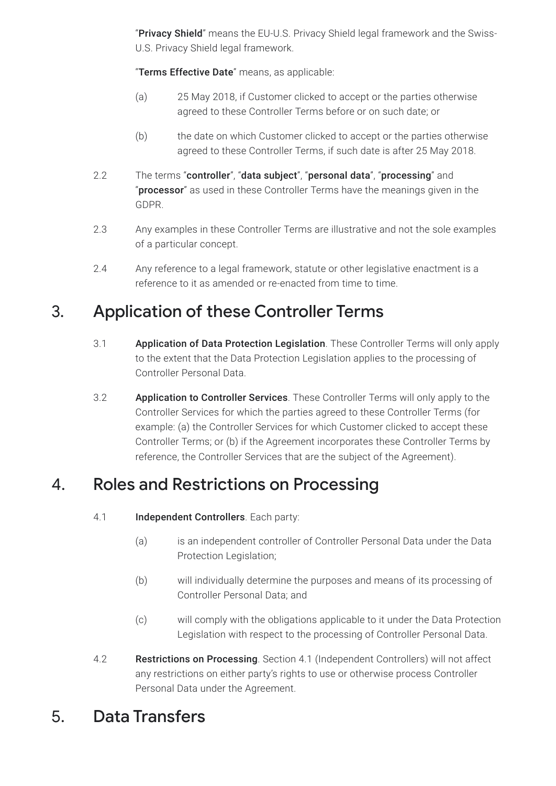"Privacy Shield" means the EU-U.S. Privacy Shield legal framework and the Swiss-U.S. Privacy Shield legal framework.

"Terms Effective Date" means, as applicable:

- (a) 25 May 2018, if Customer clicked to accept or the parties otherwise agreed to these Controller Terms before or on such date; or
- (b) the date on which Customer clicked to accept or the parties otherwise agreed to these Controller Terms, if such date is after 25 May 2018.
- 2.2 The terms "controller", "data subject", "personal data", "processing" and "**processor**" as used in these Controller Terms have the meanings given in the GDPR.
- 2.3 Any examples in these Controller Terms are illustrative and not the sole examples of a particular concept.
- 2.4 Any reference to a legal framework, statute or other legislative enactment is a reference to it as amended or re-enacted from time to time.

# 3. Application of these Controller Terms

- 3.1 **Application of Data Protection Legislation**. These Controller Terms will only apply to the extent that the Data Protection Legislation applies to the processing of Controller Personal Data.
- 3.2 Application to Controller Services. These Controller Terms will only apply to the Controller Services for which the parties agreed to these Controller Terms (for example: (a) the Controller Services for which Customer clicked to accept these Controller Terms; or (b) if the Agreement incorporates these Controller Terms by reference, the Controller Services that are the subject of the Agreement).

#### 4. Roles and Restrictions on Processing

- 4.1 **Independent Controllers**. Each party:
	- (a) is an independent controller of Controller Personal Data under the Data Protection Legislation;
	- (b) will individually determine the purposes and means of its processing of Controller Personal Data; and
	- (c) will comply with the obligations applicable to it under the Data Protection Legislation with respect to the processing of Controller Personal Data.
- 4.2 Restrictions on Processing. Section 4.1 (Independent Controllers) will not affect any restrictions on either party's rights to use or otherwise process Controller Personal Data under the Agreement.

# 5. Data Transfers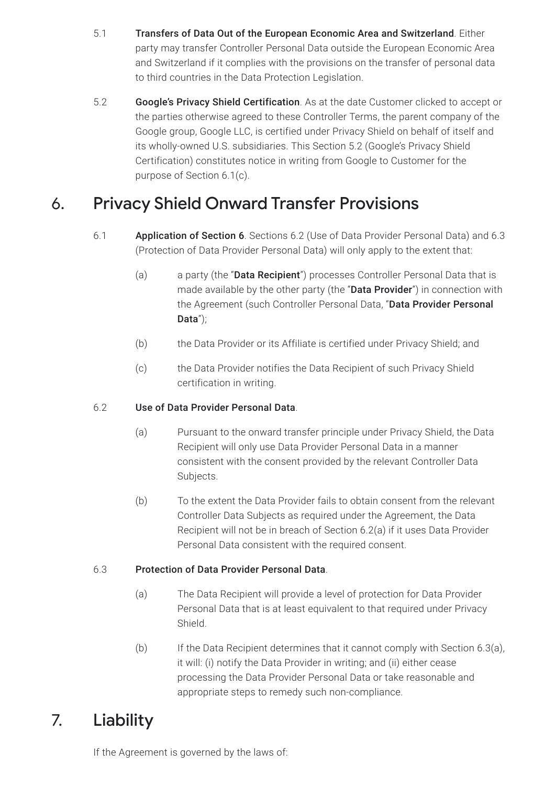- 5.1 Transfers of Data Out of the European Economic Area and Switzerland. Either party may transfer Controller Personal Data outside the European Economic Area and Switzerland if it complies with the provisions on the transfer of personal data to third countries in the Data Protection Legislation.
- 5.2 Google's Privacy Shield Certification. As at the date Customer clicked to accept or the parties otherwise agreed to these Controller Terms, the parent company of the Google group, Google LLC, is certified under Privacy Shield on behalf of itself and its wholly-owned U.S. subsidiaries. This Section 5.2 (Google's Privacy Shield Certification) constitutes notice in writing from Google to Customer for the purpose of Section 6.1(c).

# 6. Privacy Shield Onward Transfer Provisions

- 6.1 Application of Section 6. Sections 6.2 (Use of Data Provider Personal Data) and 6.3 (Protection of Data Provider Personal Data) will only apply to the extent that:
	- (a) a party (the "**Data Recipient**") processes Controller Personal Data that is made available by the other party (the "Data Provider") in connection with the Agreement (such Controller Personal Data, "Data Provider Personal Data");
	- (b) the Data Provider or its Affiliate is certified under Privacy Shield; and
	- (c) the Data Provider notifies the Data Recipient of such Privacy Shield certification in writing.

#### 6.2 Use of Data Provider Personal Data.

- (a) Pursuant to the onward transfer principle under Privacy Shield, the Data Recipient will only use Data Provider Personal Data in a manner consistent with the consent provided by the relevant Controller Data Subjects.
- (b) To the extent the Data Provider fails to obtain consent from the relevant Controller Data Subjects as required under the Agreement, the Data Recipient will not be in breach of Section 6.2(a) if it uses Data Provider Personal Data consistent with the required consent.

#### 6.3 Protection of Data Provider Personal Data.

- (a) The Data Recipient will provide a level of protection for Data Provider Personal Data that is at least equivalent to that required under Privacy Shield.
- (b) If the Data Recipient determines that it cannot comply with Section 6.3(a), it will: (i) notify the Data Provider in writing; and (ii) either cease processing the Data Provider Personal Data or take reasonable and appropriate steps to remedy such non-compliance.

# 7. Liability

If the Agreement is governed by the laws of: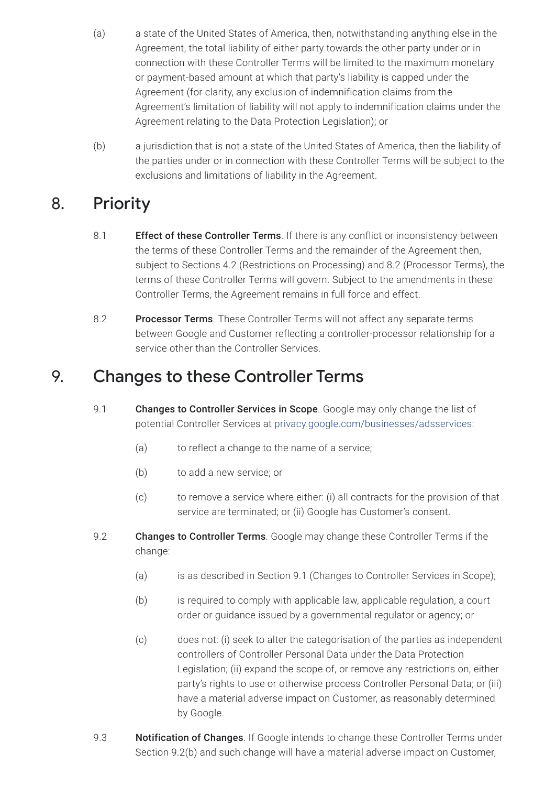- (a) a state of the United States of America, then, notwithstanding anything else in the Agreement, the total liability of either party towards the other party under or in connection with these Controller Terms will be limited to the maximum monetary or payment-based amount at which that party's liability is capped under the Agreement (for clarity, any exclusion of indemnification claims from the Agreement's limitation of liability will not apply to indemnification claims under the Agreement relating to the Data Protection Legislation); or
- (b) a jurisdiction that is not a state of the United States of America, then the liability of the parties under or in connection with these Controller Terms will be subject to the exclusions and limitations of liability in the Agreement.

# 8. Priority

- 8.1 **Effect of these Controller Terms**. If there is any conflict or inconsistency between the terms of these Controller Terms and the remainder of the Agreement then, subject to Sections 4.2 (Restrictions on Processing) and 8.2 (Processor Terms), the terms of these Controller Terms will govern. Subject to the amendments in these Controller Terms, the Agreement remains in full force and effect.
- 8.2 Processor Terms. These Controller Terms will not affect any separate terms between Google and Customer reflecting a controller-processor relationship for a service other than the Controller Services.

#### 9. Changes to these Controller Terms

- 9.1 **Changes to Controller Services in Scope**. Google may only change the list of potential Controller Services at [privacy.google.com/businesses/adsservices:](https://privacy.google.com/businesses/adsservices)
	- (a) to reflect a change to the name of a service;
	- (b) to add a new service; or
	- (c) to remove a service where either: (i) all contracts for the provision of that service are terminated; or (ii) Google has Customer's consent.
- 9.2 **Changes to Controller Terms**. Google may change these Controller Terms if the change:
	- (a) is as described in Section 9.1 (Changes to Controller Services in Scope);
	- (b) is required to comply with applicable law, applicable regulation, a court order or guidance issued by a governmental regulator or agency; or
	- (c) does not: (i) seek to alter the categorisation of the parties as independent controllers of Controller Personal Data under the Data Protection Legislation; (ii) expand the scope of, or remove any restrictions on, either party's rights to use or otherwise process Controller Personal Data; or (iii) have a material adverse impact on Customer, as reasonably determined by Google.
- 9.3 **Notification of Changes**. If Google intends to change these Controller Terms under Section 9.2(b) and such change will have a material adverse impact on Customer,